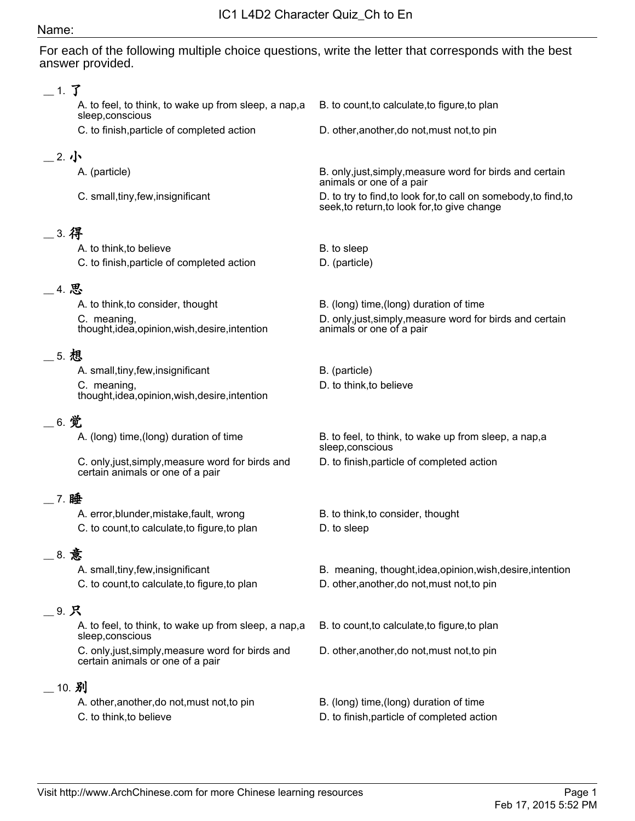#### Name:

For each of the following multiple choice questions, write the letter that corresponds with the best answer provided.

#### \_\_ 1. 了 A. to feel, to think, to wake up from sleep, a nap,a sleep,conscious B. to count,to calculate,to figure,to plan C. to finish,particle of completed action D. other,another,do not,must not,to pin  $=$  2. 小 A. (particle) B. only,just,simply,measure word for birds and certain animals or one of a pair C. small,tiny,few,insignificant D. to try to find,to look for,to call on somebody,to find,to seek,to return,to look for,to give change \_\_ 3. 得 A. to think, to believe B. to sleep C. to finish, particle of completed action D. (particle) \_\_ 4. 思 A. to think, to consider, thought B. (long) time, (long) duration of time C. meaning, thought,idea,opinion,wish,desire,intention D. only,just,simply,measure word for birds and certain animals or one of a pair \_\_ 5. 想 A. small, tiny, few, insignificant B. (particle) C. meaning, thought,idea,opinion,wish,desire,intention D. to think,to believe \_\_ 6. 觉 A. (long) time,(long) duration of time B. to feel, to think, to wake up from sleep, a nap,a sleep,conscious C. only,just,simply,measure word for birds and certain animals or one of a pair D. to finish,particle of completed action \_\_ 7. 睡 A. error, blunder, mistake, fault, wrong B. to think, to consider, thought C. to count, to calculate, to figure, to plan D. to sleep \_\_ 8. 意 A. small,tiny,few,insignificant and B. meaning, thought,idea,opinion,wish,desire,intention C. to count,to calculate,to figure,to plan D. other,another,do not,must not,to pin \_\_ 9. 只 A. to feel, to think, to wake up from sleep, a nap,a sleep,conscious B. to count,to calculate,to figure,to plan C. only,just,simply,measure word for birds and certain animals or one of a pair D. other,another,do not,must not,to pin  $-10.$  别 A. other,another,do not,must not,to pin B. (long) time,(long) duration of time

C. to think,to believe D. to finish,particle of completed action